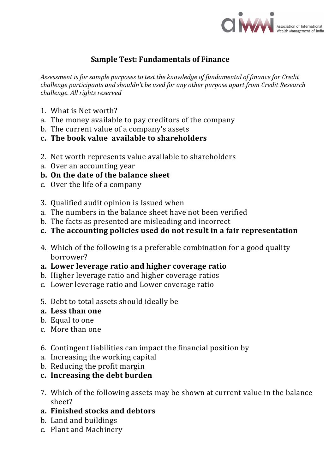

# **Sample Test: Fundamentals of Finance**

*Assessment is for sample purposes to test the knowledge of fundamental of finance for Credit challenge participants and shouldn't be used for any other purpose apart from Credit Research challenge. All rights reserved*

- 1. What is Net worth?
- a. The money available to pay creditors of the company
- b. The current value of a company's assets
- **c. The book value available to shareholders**
- 2. Net worth represents value available to shareholders
- a. Over an accounting year
- **b. On the date of the balance sheet**
- c. Over the life of a company
- 3. Qualified audit opinion is Issued when
- a. The numbers in the balance sheet have not been verified
- b. The facts as presented are misleading and incorrect
- **c. The accounting policies used do not result in a fair representation**
- 4. Which of the following is a preferable combination for a good quality borrower?
- **a. Lower leverage ratio and higher coverage ratio**
- b. Higher leverage ratio and higher coverage ratios
- c. Lower leverage ratio and Lower coverage ratio
- 5. Debt to total assets should ideally be
- **a. Less than one**
- b. Equal to one
- c. More than one
- 6. Contingent liabilities can impact the financial position by
- a. Increasing the working capital
- b. Reducing the profit margin
- **c. Increasing the debt burden**
- 7. Which of the following assets may be shown at current value in the balance sheet?
- **a. Finished stocks and debtors**
- b. Land and buildings
- c. Plant and Machinery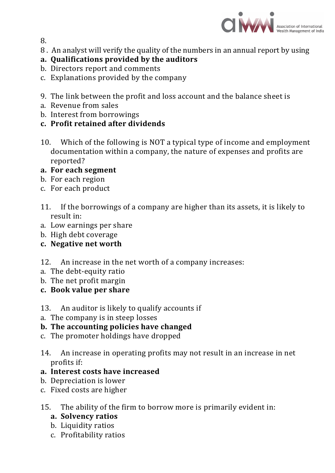

8.

8 . An analyst will verify the quality of the numbers in an annual report by using

# **a. Qualifications provided by the auditors**

- b. Directors report and comments
- c. Explanations provided by the company
- 9. The link between the profit and loss account and the balance sheet is
- a. Revenue from sales
- b. Interest from borrowings
- **c. Profit retained after dividends**
- 10. Which of the following is NOT a typical type of income and employment documentation within a company, the nature of expenses and profits are reported?

#### **a. For each segment**

- b. For each region
- c. For each product
- 11. If the borrowings of a company are higher than its assets, it is likely to result in:
- a. Low earnings per share
- b. High debt coverage
- **c. Negative net worth**
- 12. An increase in the net worth of a company increases:
- a. The debt-equity ratio
- b. The net profit margin
- **c. Book value per share**
- 13. An auditor is likely to qualify accounts if
- a. The company is in steep losses

# **b. The accounting policies have changed**

- c. The promoter holdings have dropped
- 14. An increase in operating profits may not result in an increase in net profits if:
- **a. Interest costs have increased**
- b. Depreciation is lower
- c. Fixed costs are higher
- 15. The ability of the firm to borrow more is primarily evident in:
	- **a. Solvency ratios**
	- b. Liquidity ratios
	- c. Profitability ratios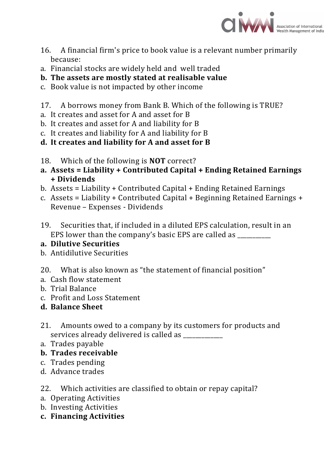

- 16. A financial firm's price to book value is a relevant number primarily because:
- a. Financial stocks are widely held and well traded

# **b. The assets are mostly stated at realisable value**

- c. Book value is not impacted by other income
- 17. A borrows money from Bank B. Which of the following is TRUE?
- a. It creates and asset for A and asset for B
- b. It creates and asset for A and liability for B
- c. It creates and liability for A and liability for B
- **d. It creates and liability for A and asset for B**
- 18. Which of the following is **NOT** correct?
- **a. Assets = Liability + Contributed Capital + Ending Retained Earnings + Dividends**
- b. Assets = Liability + Contributed Capital + Ending Retained Earnings
- c. Assets = Liability + Contributed Capital + Beginning Retained Earnings + Revenue – Expenses - Dividends
- 19. Securities that, if included in a diluted EPS calculation, result in an EPS lower than the company's basic EPS are called as

# **a. Dilutive Securities**

- b. Antidilutive Securities
- 20. What is also known as "the statement of financial position"
- a. Cash flow statement
- b. Trial Balance
- c. Profit and Loss Statement
- **d. Balance Sheet**
- 21. Amounts owed to a company by its customers for products and services already delivered is called as
- a. Trades payable
- **b. Trades receivable**
- c. Trades pending
- d. Advance trades
- 22. Which activities are classified to obtain or repay capital?
- a. Operating Activities
- b. Investing Activities
- **c. Financing Activities**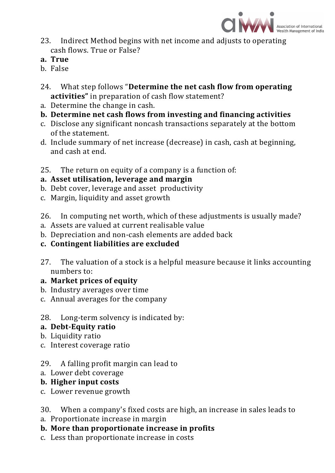

- 23. Indirect Method begins with net income and adjusts to operating cash flows. True or False?
- **a. True**
- b. False
- 24. What step follows "**Determine the net cash flow from operating activities"** in preparation of cash flow statement?
- a. Determine the change in cash.
- **b. Determine net cash flows from investing and financing activities**
- c. Disclose any significant noncash transactions separately at the bottom of the statement.
- d. Include summary of net increase (decrease) in cash, cash at beginning, and cash at end.
- 25. The return on equity of a company is a function of:

# **a. Asset utilisation, leverage and margin**

- b. Debt cover, leverage and asset productivity
- c. Margin, liquidity and asset growth
- 26. In computing net worth, which of these adjustments is usually made?
- a. Assets are valued at current realisable value
- b. Depreciation and non-cash elements are added back
- **c. Contingent liabilities are excluded**
- 27. The valuation of a stock is a helpful measure because it links accounting numbers to:
- **a. Market prices of equity**
- b. Industry averages over time
- c. Annual averages for the company
- 28. Long-term solvency is indicated by:
- **a. Debt-Equity ratio**
- b. Liquidity ratio
- c. Interest coverage ratio

# 29. A falling profit margin can lead to

a. Lower debt coverage

# **b. Higher input costs**

c. Lower revenue growth

30. When a company's fixed costs are high, an increase in sales leads to

- a. Proportionate increase in margin
- **b. More than proportionate increase in profits**
- c. Less than proportionate increase in costs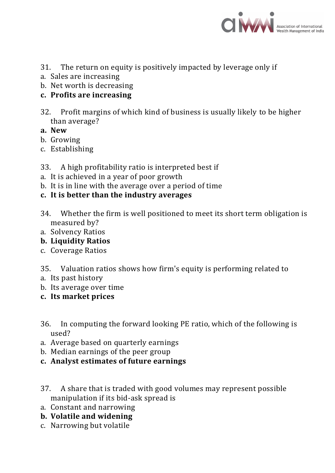

- 31. The return on equity is positively impacted by leverage only if
- a. Sales are increasing
- b. Net worth is decreasing
- **c. Profits are increasing**
- 32. Profit margins of which kind of business is usually likely to be higher than average?
- **a. New**
- b. Growing
- c. Establishing
- 33. A high profitability ratio is interpreted best if
- a. It is achieved in a year of poor growth
- b. It is in line with the average over a period of time
- **c. It is better than the industry averages**
- 34. Whether the firm is well positioned to meet its short term obligation is measured by?
- a. Solvency Ratios
- **b. Liquidity Ratios**
- c. Coverage Ratios
- 35. Valuation ratios shows how firm's equity is performing related to
- a. Its past history
- b. Its average over time
- **c. Its market prices**
- 36. In computing the forward looking PE ratio, which of the following is used?
- a. Average based on quarterly earnings
- b. Median earnings of the peer group
- **c. Analyst estimates of future earnings**
- 37. A share that is traded with good volumes may represent possible manipulation if its bid-ask spread is
- a. Constant and narrowing
- **b. Volatile and widening**
- c. Narrowing but volatile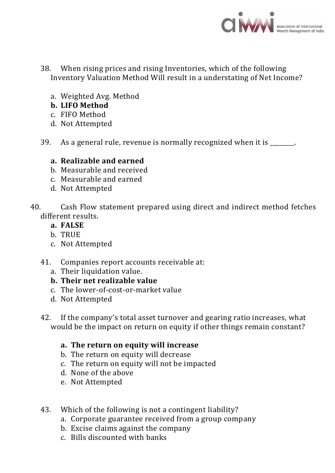

- 38. When rising prices and rising Inventories, which of the following Inventory Valuation Method Will result in a understating of Net Income?
	- a. Weighted Avg. Method
	- **b. LIFO Method**
	- c. FIFO Method
	- d. Not Attempted
- 39. As a general rule, revenue is normally recognized when it is \_\_\_\_\_\_\_\_.

#### **a. Realizable and earned**

- b. Measurable and received
- c. Measurable and earned
- d. Not Attempted
- 40. Cash Flow statement prepared using direct and indirect method fetches different results.
	- **a. FALSE**
	- b. TRUE
	- c. Not Attempted
	- 41. Companies report accounts receivable at:
		- a. Their liquidation value.
		- **b. Their net realizable value**
		- c. The lower-of-cost-or-market value
		- d. Not Attempted
	- 42. If the company's total asset turnover and gearing ratio increases, what would be the impact on return on equity if other things remain constant?
		- **a. The return on equity will increase**
		- b. The return on equity will decrease
		- c. The return on equity will not be impacted
		- d. None of the above
		- e. Not Attempted
	- 43. Which of the following is not a contingent liability?
		- a. Corporate guarantee received from a group company
		- b. Excise claims against the company
		- c. Bills discounted with banks